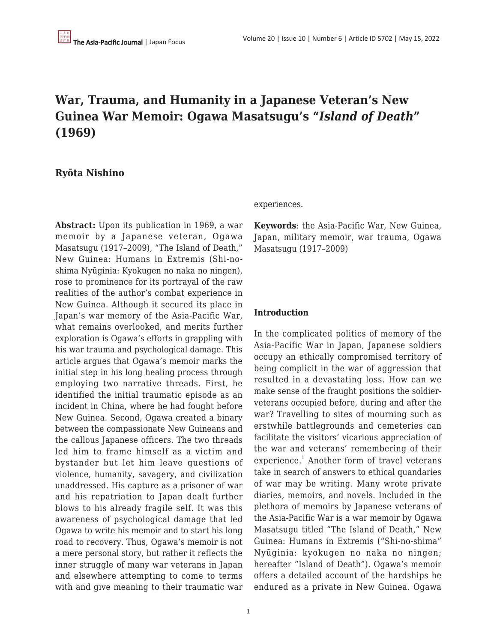## **War, Trauma, and Humanity in a Japanese Veteran's New Guinea War Memoir: Ogawa Masatsugu's "***Island of Death***" (1969)**

## **Ryōta Nishino**

**Abstract:** Upon its publication in 1969, a war memoir by a Japanese veteran, Ogawa Masatsugu (1917–2009), "The Island of Death," New Guinea: Humans in Extremis (Shi-noshima Nyūginia: Kyokugen no naka no ningen), rose to prominence for its portrayal of the raw realities of the author's combat experience in New Guinea. Although it secured its place in Japan's war memory of the Asia-Pacific War, what remains overlooked, and merits further exploration is Ogawa's efforts in grappling with his war trauma and psychological damage. This article argues that Ogawa's memoir marks the initial step in his long healing process through employing two narrative threads. First, he identified the initial traumatic episode as an incident in China, where he had fought before New Guinea. Second, Ogawa created a binary between the compassionate New Guineans and the callous Japanese officers. The two threads led him to frame himself as a victim and bystander but let him leave questions of violence, humanity, savagery, and civilization unaddressed. His capture as a prisoner of war and his repatriation to Japan dealt further blows to his already fragile self. It was this awareness of psychological damage that led Ogawa to write his memoir and to start his long road to recovery. Thus, Ogawa's memoir is not a mere personal story, but rather it reflects the inner struggle of many war veterans in Japan and elsewhere attempting to come to terms with and give meaning to their traumatic war

#### experiences.

**Keywords**: the Asia-Pacific War, New Guinea, Japan, military memoir, war trauma, Ogawa Masatsugu (1917–2009)

#### **Introduction**

In the complicated politics of memory of the Asia-Pacific War in Japan, Japanese soldiers occupy an ethically compromised territory of being complicit in the war of aggression that resulted in a devastating loss. How can we make sense of the fraught positions the soldierveterans occupied before, during and after the war? Travelling to sites of mourning such as erstwhile battlegrounds and cemeteries can facilitate the visitors' vicarious appreciation of the war and veterans' remembering of their experience.<sup>1</sup> Another form of travel veterans take in search of answers to ethical quandaries of war may be writing. Many wrote private diaries, memoirs, and novels. Included in the plethora of memoirs by Japanese veterans of the Asia-Pacific War is a war memoir by Ogawa Masatsugu titled "The Island of Death," New Guinea: Humans in Extremis ("Shi-no-shima" Nyūginia: kyokugen no naka no ningen; hereafter "Island of Death"). Ogawa's memoir offers a detailed account of the hardships he endured as a private in New Guinea. Ogawa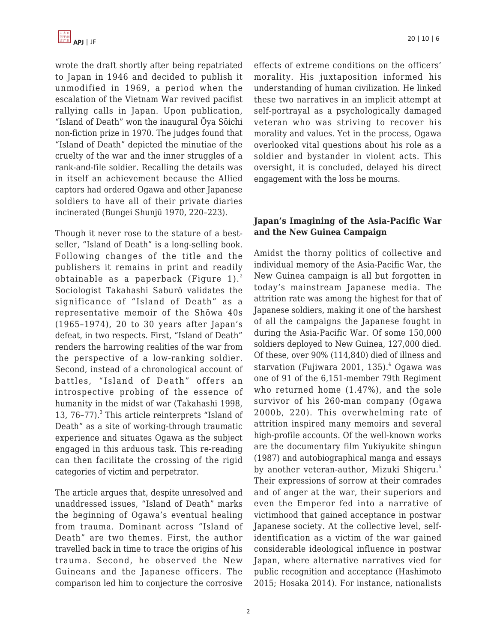wrote the draft shortly after being repatriated to Japan in 1946 and decided to publish it unmodified in 1969, a period when the escalation of the Vietnam War revived pacifist rallying calls in Japan. Upon publication, "Island of Death" won the inaugural Ōya Sōichi non-fiction prize in 1970. The judges found that "Island of Death" depicted the minutiae of the cruelty of the war and the inner struggles of a rank-and-file soldier. Recalling the details was in itself an achievement because the Allied captors had ordered Ogawa and other Japanese soldiers to have all of their private diaries incinerated (Bungei Shunjū 1970, 220–223).

Though it never rose to the stature of a bestseller, "Island of Death" is a long-selling book. Following changes of the title and the publishers it remains in print and readily obtainable as a paperback (Figure 1). $^{2}$ Sociologist Takahashi Saburō validates the significance of "Island of Death" as a representative memoir of the Shōwa 40s (1965–1974), 20 to 30 years after Japan's defeat, in two respects. First, "Island of Death" renders the harrowing realities of the war from the perspective of a low-ranking soldier. Second, instead of a chronological account of battles, "Island of Death" offers an introspective probing of the essence of humanity in the midst of war (Takahashi 1998, 13, 76-77).<sup>3</sup> This article reinterprets "Island of Death" as a site of working-through traumatic experience and situates Ogawa as the subject engaged in this arduous task. This re-reading can then facilitate the crossing of the rigid categories of victim and perpetrator.

The article argues that, despite unresolved and unaddressed issues, "Island of Death" marks the beginning of Ogawa's eventual healing from trauma. Dominant across "Island of Death" are two themes. First, the author travelled back in time to trace the origins of his trauma. Second, he observed the New Guineans and the Japanese officers. The comparison led him to conjecture the corrosive effects of extreme conditions on the officers' morality. His juxtaposition informed his understanding of human civilization. He linked these two narratives in an implicit attempt at self-portrayal as a psychologically damaged veteran who was striving to recover his morality and values. Yet in the process, Ogawa overlooked vital questions about his role as a soldier and bystander in violent acts. This oversight, it is concluded, delayed his direct engagement with the loss he mourns.

## **Japan's Imagining of the Asia-Pacific War and the New Guinea Campaign**

Amidst the thorny politics of collective and individual memory of the Asia-Pacific War, the New Guinea campaign is all but forgotten in today's mainstream Japanese media. The attrition rate was among the highest for that of Japanese soldiers, making it one of the harshest of all the campaigns the Japanese fought in during the Asia-Pacific War. Of some 150,000 soldiers deployed to New Guinea, 127,000 died. Of these, over 90% (114,840) died of illness and starvation (Fujiwara 2001, 135). $^4$  Ogawa was one of 91 of the 6,151-member 79th Regiment who returned home (1.47%), and the sole survivor of his 260-man company (Ogawa 2000b, 220). This overwhelming rate of attrition inspired many memoirs and several high-profile accounts. Of the well-known works are the documentary film Yukiyukite shingun (1987) and autobiographical manga and essays by another veteran-author, Mizuki Shigeru.<sup>5</sup> Their expressions of sorrow at their comrades and of anger at the war, their superiors and even the Emperor fed into a narrative of victimhood that gained acceptance in postwar Japanese society. At the collective level, selfidentification as a victim of the war gained considerable ideological influence in postwar Japan, where alternative narratives vied for public recognition and acceptance (Hashimoto 2015; Hosaka 2014). For instance, nationalists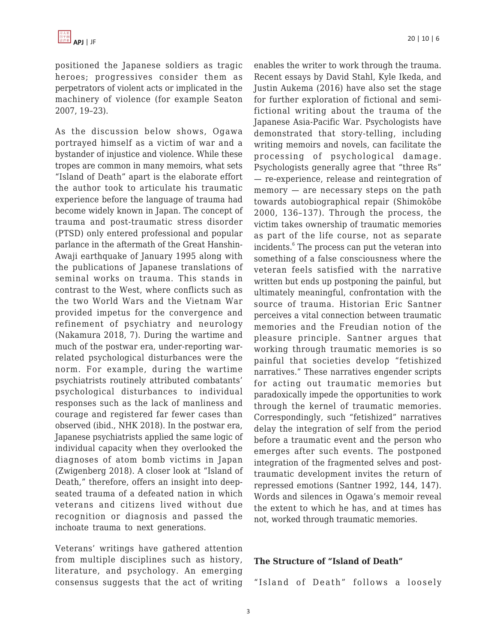positioned the Japanese soldiers as tragic heroes; progressives consider them as perpetrators of violent acts or implicated in the machinery of violence (for example Seaton 2007, 19–23).

As the discussion below shows, Ogawa portrayed himself as a victim of war and a bystander of injustice and violence. While these tropes are common in many memoirs, what sets "Island of Death" apart is the elaborate effort the author took to articulate his traumatic experience before the language of trauma had become widely known in Japan. The concept of trauma and post-traumatic stress disorder (PTSD) only entered professional and popular parlance in the aftermath of the Great Hanshin-Awaji earthquake of January 1995 along with the publications of Japanese translations of seminal works on trauma. This stands in contrast to the West, where conflicts such as the two World Wars and the Vietnam War provided impetus for the convergence and refinement of psychiatry and neurology (Nakamura 2018, 7). During the wartime and much of the postwar era, under-reporting warrelated psychological disturbances were the norm. For example, during the wartime psychiatrists routinely attributed combatants' psychological disturbances to individual responses such as the lack of manliness and courage and registered far fewer cases than observed (ibid., NHK 2018). In the postwar era, Japanese psychiatrists applied the same logic of individual capacity when they overlooked the diagnoses of atom bomb victims in Japan (Zwigenberg 2018). A closer look at "Island of Death," therefore, offers an insight into deepseated trauma of a defeated nation in which veterans and citizens lived without due recognition or diagnosis and passed the inchoate trauma to next generations.

Veterans' writings have gathered attention from multiple disciplines such as history, literature, and psychology. An emerging consensus suggests that the act of writing enables the writer to work through the trauma. Recent essays by David Stahl, Kyle Ikeda, and Justin Aukema (2016) have also set the stage for further exploration of fictional and semifictional writing about the trauma of the Japanese Asia-Pacific War. Psychologists have demonstrated that story-telling, including writing memoirs and novels, can facilitate the processing of psychological damage. Psychologists generally agree that "three Rs" — re-experience, release and reintegration of memory — are necessary steps on the path towards autobiographical repair (Shimokōbe 2000, 136–137). Through the process, the victim takes ownership of traumatic memories as part of the life course, not as separate incidents.<sup>6</sup> The process can put the veteran into something of a false consciousness where the veteran feels satisfied with the narrative written but ends up postponing the painful, but ultimately meaningful, confrontation with the source of trauma. Historian Eric Santner perceives a vital connection between traumatic memories and the Freudian notion of the pleasure principle. Santner argues that working through traumatic memories is so painful that societies develop "fetishized narratives." These narratives engender scripts for acting out traumatic memories but paradoxically impede the opportunities to work through the kernel of traumatic memories. Correspondingly, such "fetishized" narratives delay the integration of self from the period before a traumatic event and the person who emerges after such events. The postponed integration of the fragmented selves and posttraumatic development invites the return of repressed emotions (Santner 1992, 144, 147). Words and silences in Ogawa's memoir reveal the extent to which he has, and at times has not, worked through traumatic memories.

#### **The Structure of "Island of Death"**

"Island of Death" follows a loosely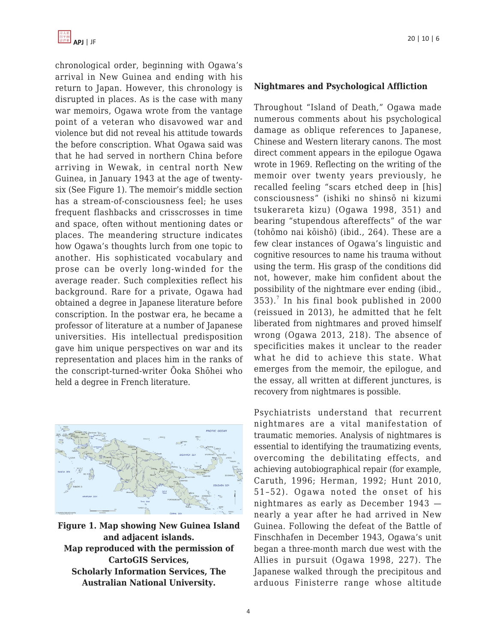

chronological order, beginning with Ogawa's arrival in New Guinea and ending with his return to Japan. However, this chronology is disrupted in places. As is the case with many war memoirs, Ogawa wrote from the vantage point of a veteran who disavowed war and violence but did not reveal his attitude towards the before conscription. What Ogawa said was that he had served in northern China before arriving in Wewak, in central north New Guinea, in January 1943 at the age of twentysix (See Figure 1). The memoir's middle section has a stream-of-consciousness feel; he uses frequent flashbacks and crisscrosses in time and space, often without mentioning dates or places. The meandering structure indicates how Ogawa's thoughts lurch from one topic to another. His sophisticated vocabulary and prose can be overly long-winded for the average reader. Such complexities reflect his background. Rare for a private, Ogawa had obtained a degree in Japanese literature before conscription. In the postwar era, he became a professor of literature at a number of Japanese universities. His intellectual predisposition gave him unique perspectives on war and its representation and places him in the ranks of the conscript-turned-writer Ōoka Shōhei who held a degree in French literature.



**Figure 1. Map showing New Guinea Island and adjacent islands. Map reproduced with the permission of CartoGIS Services, Scholarly Information Services, The Australian National University.**

#### **Nightmares and Psychological Affliction**

Throughout "Island of Death," Ogawa made numerous comments about his psychological damage as oblique references to Japanese, Chinese and Western literary canons. The most direct comment appears in the epilogue Ogawa wrote in 1969. Reflecting on the writing of the memoir over twenty years previously, he recalled feeling "scars etched deep in [his] consciousness" (ishiki no shinsō ni kizumi tsukerareta kizu) (Ogawa 1998, 351) and bearing "stupendous aftereffects" of the war (tohōmo nai kōishō) (ibid., 264). These are a few clear instances of Ogawa's linguistic and cognitive resources to name his trauma without using the term. His grasp of the conditions did not, however, make him confident about the possibility of the nightmare ever ending (ibid.,  $353$ ).<sup>7</sup> In his final book published in 2000 (reissued in 2013), he admitted that he felt liberated from nightmares and proved himself wrong (Ogawa 2013, 218). The absence of specificities makes it unclear to the reader what he did to achieve this state. What emerges from the memoir, the epilogue, and the essay, all written at different junctures, is recovery from nightmares is possible.

Psychiatrists understand that recurrent nightmares are a vital manifestation of traumatic memories. Analysis of nightmares is essential to identifying the traumatizing events, overcoming the debilitating effects, and achieving autobiographical repair (for example, Caruth, 1996; Herman, 1992; Hunt 2010, 51–52). Ogawa noted the onset of his nightmares as early as December 1943 nearly a year after he had arrived in New Guinea. Following the defeat of the Battle of Finschhafen in December 1943, Ogawa's unit began a three-month march due west with the Allies in pursuit (Ogawa 1998, 227). The Japanese walked through the precipitous and arduous Finisterre range whose altitude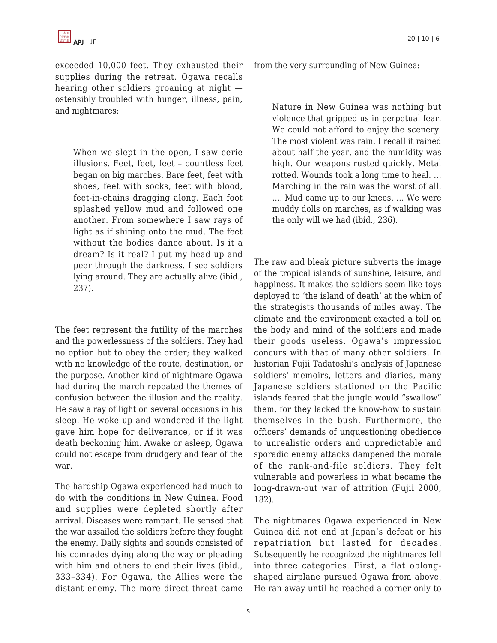exceeded 10,000 feet. They exhausted their supplies during the retreat. Ogawa recalls hearing other soldiers groaning at night ostensibly troubled with hunger, illness, pain, and nightmares:

When we slept in the open, I saw eerie illusions. Feet, feet, feet – countless feet began on big marches. Bare feet, feet with shoes, feet with socks, feet with blood, feet-in-chains dragging along. Each foot splashed yellow mud and followed one another. From somewhere I saw rays of light as if shining onto the mud. The feet without the bodies dance about. Is it a dream? Is it real? I put my head up and peer through the darkness. I see soldiers lying around. They are actually alive (ibid., 237).

The feet represent the futility of the marches and the powerlessness of the soldiers. They had no option but to obey the order; they walked with no knowledge of the route, destination, or the purpose. Another kind of nightmare Ogawa had during the march repeated the themes of confusion between the illusion and the reality. He saw a ray of light on several occasions in his sleep. He woke up and wondered if the light gave him hope for deliverance, or if it was death beckoning him. Awake or asleep, Ogawa could not escape from drudgery and fear of the war.

The hardship Ogawa experienced had much to do with the conditions in New Guinea. Food and supplies were depleted shortly after arrival. Diseases were rampant. He sensed that the war assailed the soldiers before they fought the enemy. Daily sights and sounds consisted of his comrades dying along the way or pleading with him and others to end their lives (ibid., 333–334). For Ogawa, the Allies were the distant enemy. The more direct threat came from the very surrounding of New Guinea:

Nature in New Guinea was nothing but violence that gripped us in perpetual fear. We could not afford to enjoy the scenery. The most violent was rain. I recall it rained about half the year, and the humidity was high. Our weapons rusted quickly. Metal rotted. Wounds took a long time to heal. … Marching in the rain was the worst of all. .... Mud came up to our knees. … We were muddy dolls on marches, as if walking was the only will we had (ibid., 236).

The raw and bleak picture subverts the image of the tropical islands of sunshine, leisure, and happiness. It makes the soldiers seem like toys deployed to 'the island of death' at the whim of the strategists thousands of miles away. The climate and the environment exacted a toll on the body and mind of the soldiers and made their goods useless. Ogawa's impression concurs with that of many other soldiers. In historian Fujii Tadatoshi's analysis of Japanese soldiers' memoirs, letters and diaries, many Japanese soldiers stationed on the Pacific islands feared that the jungle would "swallow" them, for they lacked the know-how to sustain themselves in the bush. Furthermore, the officers' demands of unquestioning obedience to unrealistic orders and unpredictable and sporadic enemy attacks dampened the morale of the rank-and-file soldiers. They felt vulnerable and powerless in what became the long-drawn-out war of attrition (Fujii 2000, 182).

The nightmares Ogawa experienced in New Guinea did not end at Japan's defeat or his repatriation but lasted for decades. Subsequently he recognized the nightmares fell into three categories. First, a flat oblongshaped airplane pursued Ogawa from above. He ran away until he reached a corner only to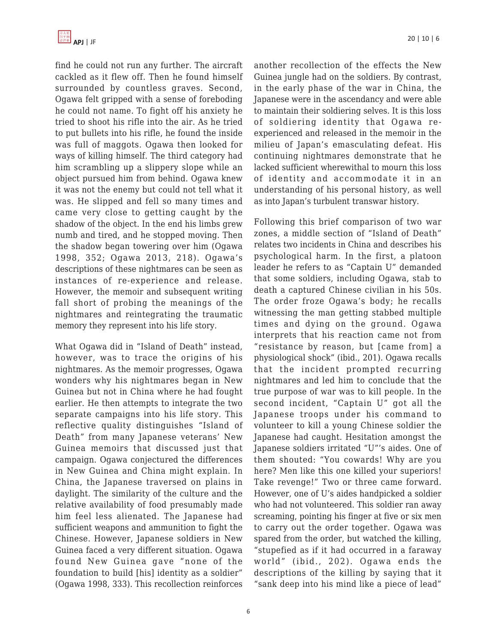find he could not run any further. The aircraft cackled as it flew off. Then he found himself surrounded by countless graves. Second, Ogawa felt gripped with a sense of foreboding he could not name. To fight off his anxiety he tried to shoot his rifle into the air. As he tried to put bullets into his rifle, he found the inside was full of maggots. Ogawa then looked for ways of killing himself. The third category had him scrambling up a slippery slope while an object pursued him from behind. Ogawa knew it was not the enemy but could not tell what it was. He slipped and fell so many times and came very close to getting caught by the shadow of the object. In the end his limbs grew numb and tired, and he stopped moving. Then the shadow began towering over him (Ogawa 1998, 352; Ogawa 2013, 218). Ogawa's descriptions of these nightmares can be seen as instances of re-experience and release. However, the memoir and subsequent writing fall short of probing the meanings of the nightmares and reintegrating the traumatic memory they represent into his life story.

What Ogawa did in "Island of Death" instead, however, was to trace the origins of his nightmares. As the memoir progresses, Ogawa wonders why his nightmares began in New Guinea but not in China where he had fought earlier. He then attempts to integrate the two separate campaigns into his life story. This reflective quality distinguishes "Island of Death" from many Japanese veterans' New Guinea memoirs that discussed just that campaign. Ogawa conjectured the differences in New Guinea and China might explain. In China, the Japanese traversed on plains in daylight. The similarity of the culture and the relative availability of food presumably made him feel less alienated. The Japanese had sufficient weapons and ammunition to fight the Chinese. However, Japanese soldiers in New Guinea faced a very different situation. Ogawa found New Guinea gave "none of the foundation to build [his] identity as a soldier" (Ogawa 1998, 333). This recollection reinforces another recollection of the effects the New Guinea jungle had on the soldiers. By contrast, in the early phase of the war in China, the Japanese were in the ascendancy and were able to maintain their soldiering selves. It is this loss of soldiering identity that Ogawa reexperienced and released in the memoir in the milieu of Japan's emasculating defeat. His continuing nightmares demonstrate that he lacked sufficient wherewithal to mourn this loss of identity and accommodate it in an understanding of his personal history, as well as into Japan's turbulent transwar history.

Following this brief comparison of two war zones, a middle section of "Island of Death" relates two incidents in China and describes his psychological harm. In the first, a platoon leader he refers to as "Captain U" demanded that some soldiers, including Ogawa, stab to death a captured Chinese civilian in his 50s. The order froze Ogawa's body; he recalls witnessing the man getting stabbed multiple times and dying on the ground. Ogawa interprets that his reaction came not from "resistance by reason, but [came from] a physiological shock" (ibid., 201). Ogawa recalls that the incident prompted recurring nightmares and led him to conclude that the true purpose of war was to kill people. In the second incident, "Captain U" got all the Japanese troops under his command to volunteer to kill a young Chinese soldier the Japanese had caught. Hesitation amongst the Japanese soldiers irritated "U"'s aides. One of them shouted: "You cowards! Why are you here? Men like this one killed your superiors! Take revenge!" Two or three came forward. However, one of U's aides handpicked a soldier who had not volunteered. This soldier ran away screaming, pointing his finger at five or six men to carry out the order together. Ogawa was spared from the order, but watched the killing, "stupefied as if it had occurred in a faraway world" (ibid., 202). Ogawa ends the descriptions of the killing by saying that it "sank deep into his mind like a piece of lead"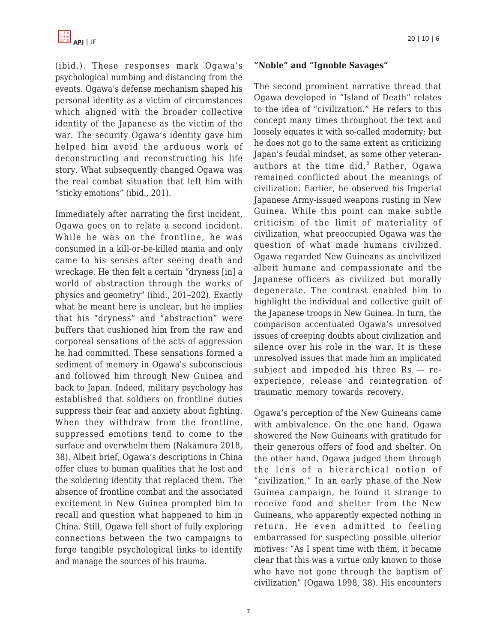(ibid.). These responses mark Ogawa's psychological numbing and distancing from the events. Ogawa's defense mechanism shaped his personal identity as a victim of circumstances which aligned with the broader collective identity of the Japanese as the victim of the war. The security Ogawa's identity gave him helped him avoid the arduous work of deconstructing and reconstructing his life story. What subsequently changed Ogawa was the real combat situation that left him with "sticky emotions" (ibid., 201).

Immediately after narrating the first incident, Ogawa goes on to relate a second incident. While he was on the frontline, he was consumed in a kill-or-be-killed mania and only came to his senses after seeing death and wreckage. He then felt a certain "dryness [in] a world of abstraction through the works of physics and geometry" (ibid., 201–202). Exactly what he meant here is unclear, but he implies that his "dryness" and "abstraction" were buffers that cushioned him from the raw and corporeal sensations of the acts of aggression he had committed. These sensations formed a sediment of memory in Ogawa's subconscious and followed him through New Guinea and back to Japan. Indeed, military psychology has established that soldiers on frontline duties suppress their fear and anxiety about fighting. When they withdraw from the frontline, suppressed emotions tend to come to the surface and overwhelm them (Nakamura 2018, 38). Albeit brief, Ogawa's descriptions in China offer clues to human qualities that he lost and the soldering identity that replaced them. The absence of frontline combat and the associated excitement in New Guinea prompted him to recall and question what happened to him in China. Still, Ogawa fell short of fully exploring connections between the two campaigns to forge tangible psychological links to identify and manage the sources of his trauma.

#### **"Noble" and "Ignoble Savages"**

The second prominent narrative thread that Ogawa developed in "Island of Death" relates to the idea of "civilization." He refers to this concept many times throughout the text and loosely equates it with so-called modernity; but he does not go to the same extent as criticizing Japan's feudal mindset, as some other veteranauthors at the time did.<sup>8</sup> Rather, Ogawa remained conflicted about the meanings of civilization. Earlier, he observed his Imperial Japanese Army-issued weapons rusting in New Guinea. While this point can make subtle criticism of the limit of materiality of civilization, what preoccupied Ogawa was the question of what made humans civilized. Ogawa regarded New Guineans as uncivilized albeit humane and compassionate and the Japanese officers as civilized but morally degenerate. The contrast enabled him to highlight the individual and collective guilt of the Japanese troops in New Guinea. In turn, the comparison accentuated Ogawa's unresolved issues of creeping doubts about civilization and silence over his role in the war. It is these unresolved issues that made him an implicated subject and impeded his three Rs — reexperience, release and reintegration of traumatic memory towards recovery.

Ogawa's perception of the New Guineans came with ambivalence. On the one hand, Ogawa showered the New Guineans with gratitude for their generous offers of food and shelter. On the other hand, Ogawa judged them through the lens of a hierarchical notion of "civilization." In an early phase of the New Guinea campaign, he found it strange to receive food and shelter from the New Guineans, who apparently expected nothing in return. He even admitted to feeling embarrassed for suspecting possible ulterior motives: "As I spent time with them, it became clear that this was a virtue only known to those who have not gone through the baptism of civilization" (Ogawa 1998, 38). His encounters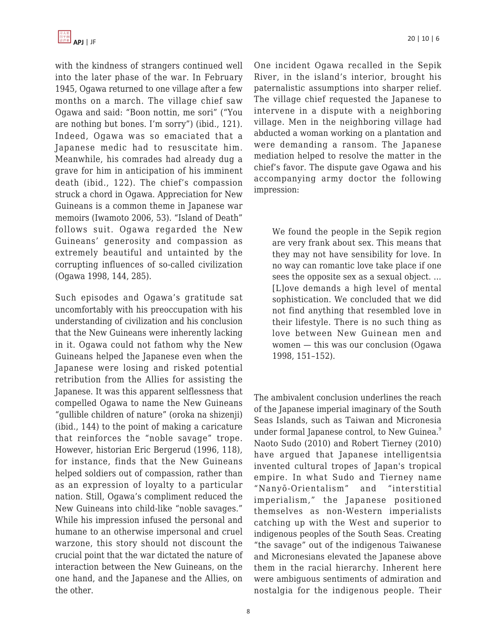with the kindness of strangers continued well into the later phase of the war. In February 1945, Ogawa returned to one village after a few months on a march. The village chief saw Ogawa and said: "Boon nottin, me sori" ("You are nothing but bones. I'm sorry") (ibid., 121). Indeed, Ogawa was so emaciated that a Japanese medic had to resuscitate him. Meanwhile, his comrades had already dug a grave for him in anticipation of his imminent death (ibid., 122). The chief's compassion struck a chord in Ogawa. Appreciation for New Guineans is a common theme in Japanese war memoirs (Iwamoto 2006, 53). "Island of Death" follows suit. Ogawa regarded the New Guineans' generosity and compassion as extremely beautiful and untainted by the corrupting influences of so-called civilization (Ogawa 1998, 144, 285).

Such episodes and Ogawa's gratitude sat uncomfortably with his preoccupation with his understanding of civilization and his conclusion that the New Guineans were inherently lacking in it. Ogawa could not fathom why the New Guineans helped the Japanese even when the Japanese were losing and risked potential retribution from the Allies for assisting the Japanese. It was this apparent selflessness that compelled Ogawa to name the New Guineans "gullible children of nature" (oroka na shizenji) (ibid., 144) to the point of making a caricature that reinforces the "noble savage" trope. However, historian Eric Bergerud (1996, 118), for instance, finds that the New Guineans helped soldiers out of compassion, rather than as an expression of loyalty to a particular nation. Still, Ogawa's compliment reduced the New Guineans into child-like "noble savages." While his impression infused the personal and humane to an otherwise impersonal and cruel warzone, this story should not discount the crucial point that the war dictated the nature of interaction between the New Guineans, on the one hand, and the Japanese and the Allies, on the other.

One incident Ogawa recalled in the Sepik River, in the island's interior, brought his paternalistic assumptions into sharper relief. The village chief requested the Japanese to intervene in a dispute with a neighboring village. Men in the neighboring village had abducted a woman working on a plantation and were demanding a ransom. The Japanese mediation helped to resolve the matter in the chief's favor. The dispute gave Ogawa and his accompanying army doctor the following impression:

We found the people in the Sepik region are very frank about sex. This means that they may not have sensibility for love. In no way can romantic love take place if one sees the opposite sex as a sexual object. … [L]ove demands a high level of mental sophistication. We concluded that we did not find anything that resembled love in their lifestyle. There is no such thing as love between New Guinean men and women — this was our conclusion (Ogawa 1998, 151–152).

The ambivalent conclusion underlines the reach of the Japanese imperial imaginary of the South Seas Islands, such as Taiwan and Micronesia under formal Japanese control, to New Guinea.<sup>9</sup> Naoto Sudo (2010) and Robert Tierney (2010) have argued that Japanese intelligentsia invented cultural tropes of Japan's tropical empire. In what Sudo and Tierney name "Nanyō-Orientalism" and "interstitial imperialism," the Japanese positioned themselves as non-Western imperialists catching up with the West and superior to indigenous peoples of the South Seas. Creating "the savage" out of the indigenous Taiwanese and Micronesians elevated the Japanese above them in the racial hierarchy. Inherent here were ambiguous sentiments of admiration and nostalgia for the indigenous people. Their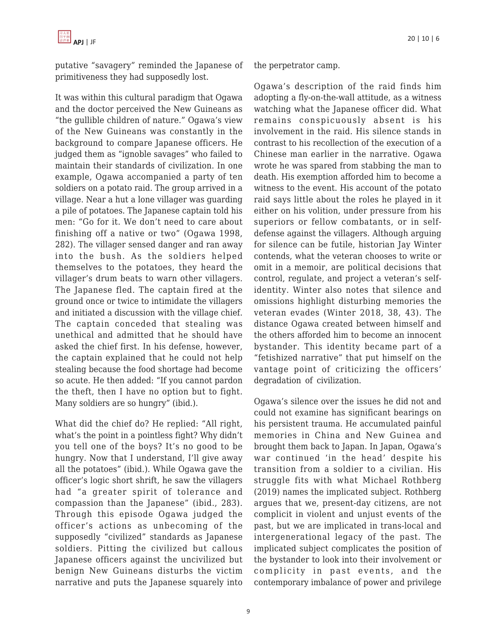

putative "savagery" reminded the Japanese of primitiveness they had supposedly lost.

It was within this cultural paradigm that Ogawa and the doctor perceived the New Guineans as "the gullible children of nature." Ogawa's view of the New Guineans was constantly in the background to compare Japanese officers. He judged them as "ignoble savages" who failed to maintain their standards of civilization. In one example, Ogawa accompanied a party of ten soldiers on a potato raid. The group arrived in a village. Near a hut a lone villager was guarding a pile of potatoes. The Japanese captain told his men: "Go for it. We don't need to care about finishing off a native or two" (Ogawa 1998, 282). The villager sensed danger and ran away into the bush. As the soldiers helped themselves to the potatoes, they heard the villager's drum beats to warn other villagers. The Japanese fled. The captain fired at the ground once or twice to intimidate the villagers and initiated a discussion with the village chief. The captain conceded that stealing was unethical and admitted that he should have asked the chief first. In his defense, however, the captain explained that he could not help stealing because the food shortage had become so acute. He then added: "If you cannot pardon the theft, then I have no option but to fight. Many soldiers are so hungry" (ibid.).

What did the chief do? He replied: "All right, what's the point in a pointless fight? Why didn't you tell one of the boys? It's no good to be hungry. Now that I understand, I'll give away all the potatoes" (ibid.). While Ogawa gave the officer's logic short shrift, he saw the villagers had "a greater spirit of tolerance and compassion than the Japanese" (ibid., 283). Through this episode Ogawa judged the officer's actions as unbecoming of the supposedly "civilized" standards as Japanese soldiers. Pitting the civilized but callous Japanese officers against the uncivilized but benign New Guineans disturbs the victim narrative and puts the Japanese squarely into Ogawa's description of the raid finds him adopting a fly-on-the-wall attitude, as a witness watching what the Japanese officer did. What remains conspicuously absent is his involvement in the raid. His silence stands in contrast to his recollection of the execution of a Chinese man earlier in the narrative. Ogawa wrote he was spared from stabbing the man to death. His exemption afforded him to become a witness to the event. His account of the potato raid says little about the roles he played in it either on his volition, under pressure from his superiors or fellow combatants, or in selfdefense against the villagers. Although arguing for silence can be futile, historian Jay Winter contends, what the veteran chooses to write or omit in a memoir, are political decisions that control, regulate, and project a veteran's selfidentity. Winter also notes that silence and omissions highlight disturbing memories the veteran evades (Winter 2018, 38, 43). The distance Ogawa created between himself and the others afforded him to become an innocent bystander. This identity became part of a "fetishized narrative" that put himself on the vantage point of criticizing the officers' degradation of civilization.

Ogawa's silence over the issues he did not and could not examine has significant bearings on his persistent trauma. He accumulated painful memories in China and New Guinea and brought them back to Japan. In Japan, Ogawa's war continued 'in the head' despite his transition from a soldier to a civilian. His struggle fits with what Michael Rothberg (2019) names the implicated subject. Rothberg argues that we, present-day citizens, are not complicit in violent and unjust events of the past, but we are implicated in trans-local and intergenerational legacy of the past. The implicated subject complicates the position of the bystander to look into their involvement or complicity in past events, and the contemporary imbalance of power and privilege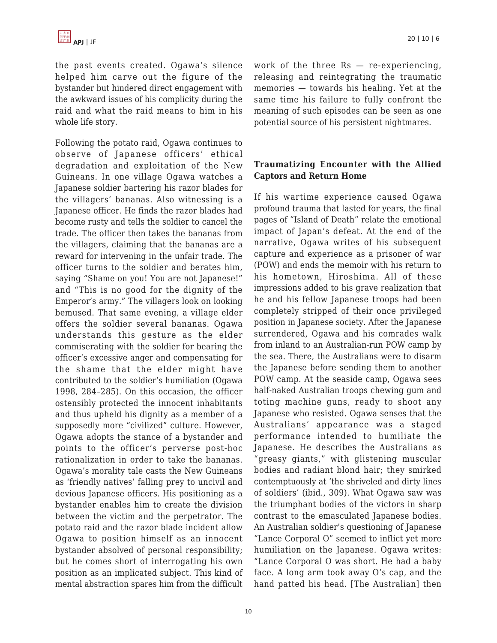the past events created. Ogawa's silence helped him carve out the figure of the bystander but hindered direct engagement with the awkward issues of his complicity during the raid and what the raid means to him in his whole life story.

Following the potato raid, Ogawa continues to observe of Japanese officers' ethical degradation and exploitation of the New Guineans. In one village Ogawa watches a Japanese soldier bartering his razor blades for the villagers' bananas. Also witnessing is a Japanese officer. He finds the razor blades had become rusty and tells the soldier to cancel the trade. The officer then takes the bananas from the villagers, claiming that the bananas are a reward for intervening in the unfair trade. The officer turns to the soldier and berates him, saying "Shame on you! You are not Japanese!" and "This is no good for the dignity of the Emperor's army." The villagers look on looking bemused. That same evening, a village elder offers the soldier several bananas. Ogawa understands this gesture as the elder commiserating with the soldier for bearing the officer's excessive anger and compensating for the shame that the elder might have contributed to the soldier's humiliation (Ogawa 1998, 284–285). On this occasion, the officer ostensibly protected the innocent inhabitants and thus upheld his dignity as a member of a supposedly more "civilized" culture. However, Ogawa adopts the stance of a bystander and points to the officer's perverse post-hoc rationalization in order to take the bananas. Ogawa's morality tale casts the New Guineans as 'friendly natives' falling prey to uncivil and devious Japanese officers. His positioning as a bystander enables him to create the division between the victim and the perpetrator. The potato raid and the razor blade incident allow Ogawa to position himself as an innocent bystander absolved of personal responsibility; but he comes short of interrogating his own position as an implicated subject. This kind of mental abstraction spares him from the difficult work of the three Rs — re-experiencing, releasing and reintegrating the traumatic memories — towards his healing. Yet at the same time his failure to fully confront the meaning of such episodes can be seen as one potential source of his persistent nightmares.

## **Traumatizing Encounter with the Allied Captors and Return Home**

If his wartime experience caused Ogawa profound trauma that lasted for years, the final pages of "Island of Death" relate the emotional impact of Japan's defeat. At the end of the narrative, Ogawa writes of his subsequent capture and experience as a prisoner of war (POW) and ends the memoir with his return to his hometown, Hiroshima. All of these impressions added to his grave realization that he and his fellow Japanese troops had been completely stripped of their once privileged position in Japanese society. After the Japanese surrendered, Ogawa and his comrades walk from inland to an Australian-run POW camp by the sea. There, the Australians were to disarm the Japanese before sending them to another POW camp. At the seaside camp, Ogawa sees half-naked Australian troops chewing gum and toting machine guns, ready to shoot any Japanese who resisted. Ogawa senses that the Australians' appearance was a staged performance intended to humiliate the Japanese. He describes the Australians as "greasy giants," with glistening muscular bodies and radiant blond hair; they smirked contemptuously at 'the shriveled and dirty lines of soldiers' (ibid., 309). What Ogawa saw was the triumphant bodies of the victors in sharp contrast to the emasculated Japanese bodies. An Australian soldier's questioning of Japanese "Lance Corporal O" seemed to inflict yet more humiliation on the Japanese. Ogawa writes: "Lance Corporal O was short. He had a baby face. A long arm took away O's cap, and the hand patted his head. [The Australian] then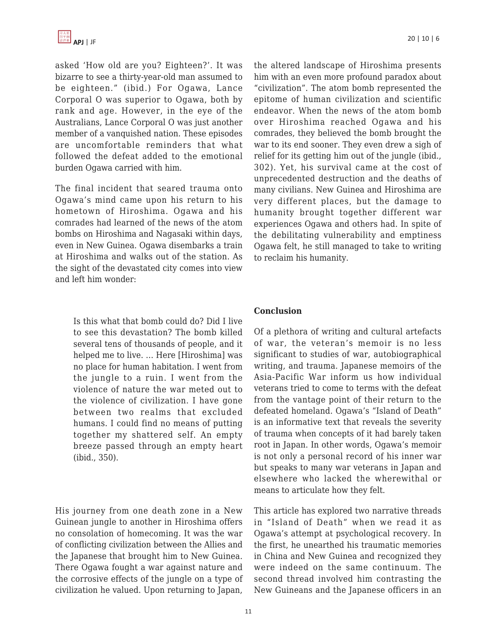asked 'How old are you? Eighteen?'. It was bizarre to see a thirty-year-old man assumed to be eighteen." (ibid.) For Ogawa, Lance Corporal O was superior to Ogawa, both by rank and age. However, in the eye of the Australians, Lance Corporal O was just another member of a vanquished nation. These episodes are uncomfortable reminders that what followed the defeat added to the emotional burden Ogawa carried with him.

The final incident that seared trauma onto Ogawa's mind came upon his return to his hometown of Hiroshima. Ogawa and his comrades had learned of the news of the atom bombs on Hiroshima and Nagasaki within days, even in New Guinea. Ogawa disembarks a train at Hiroshima and walks out of the station. As the sight of the devastated city comes into view and left him wonder:

Is this what that bomb could do? Did I live to see this devastation? The bomb killed several tens of thousands of people, and it helped me to live. … Here [Hiroshima] was no place for human habitation. I went from the jungle to a ruin. I went from the violence of nature the war meted out to the violence of civilization. I have gone between two realms that excluded humans. I could find no means of putting together my shattered self. An empty breeze passed through an empty heart (ibid., 350).

His journey from one death zone in a New Guinean jungle to another in Hiroshima offers no consolation of homecoming. It was the war of conflicting civilization between the Allies and the Japanese that brought him to New Guinea. There Ogawa fought a war against nature and the corrosive effects of the jungle on a type of civilization he valued. Upon returning to Japan,

the altered landscape of Hiroshima presents him with an even more profound paradox about "civilization". The atom bomb represented the epitome of human civilization and scientific endeavor. When the news of the atom bomb over Hiroshima reached Ogawa and his comrades, they believed the bomb brought the war to its end sooner. They even drew a sigh of relief for its getting him out of the jungle (ibid., 302). Yet, his survival came at the cost of unprecedented destruction and the deaths of many civilians. New Guinea and Hiroshima are very different places, but the damage to humanity brought together different war experiences Ogawa and others had. In spite of the debilitating vulnerability and emptiness Ogawa felt, he still managed to take to writing to reclaim his humanity.

## **Conclusion**

Of a plethora of writing and cultural artefacts of war, the veteran's memoir is no less significant to studies of war, autobiographical writing, and trauma. Japanese memoirs of the Asia-Pacific War inform us how individual veterans tried to come to terms with the defeat from the vantage point of their return to the defeated homeland. Ogawa's "Island of Death" is an informative text that reveals the severity of trauma when concepts of it had barely taken root in Japan. In other words, Ogawa's memoir is not only a personal record of his inner war but speaks to many war veterans in Japan and elsewhere who lacked the wherewithal or means to articulate how they felt.

This article has explored two narrative threads in "Island of Death" when we read it as Ogawa's attempt at psychological recovery. In the first, he unearthed his traumatic memories in China and New Guinea and recognized they were indeed on the same continuum. The second thread involved him contrasting the New Guineans and the Japanese officers in an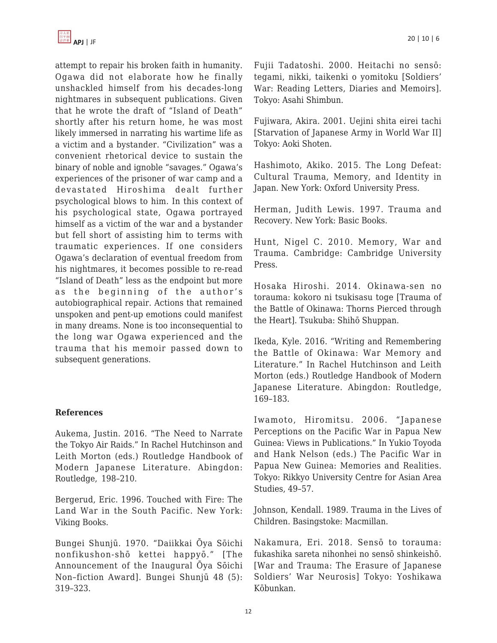

attempt to repair his broken faith in humanity. Ogawa did not elaborate how he finally unshackled himself from his decades-long nightmares in subsequent publications. Given that he wrote the draft of "Island of Death" shortly after his return home, he was most likely immersed in narrating his wartime life as a victim and a bystander. "Civilization" was a convenient rhetorical device to sustain the binary of noble and ignoble "savages." Ogawa's experiences of the prisoner of war camp and a devastated Hiroshima dealt further psychological blows to him. In this context of his psychological state, Ogawa portrayed himself as a victim of the war and a bystander but fell short of assisting him to terms with traumatic experiences. If one considers Ogawa's declaration of eventual freedom from his nightmares, it becomes possible to re-read "Island of Death" less as the endpoint but more as the beginning of the author's autobiographical repair. Actions that remained unspoken and pent-up emotions could manifest in many dreams. None is too inconsequential to the long war Ogawa experienced and the trauma that his memoir passed down to subsequent generations.

#### **References**

Aukema, Justin. 2016. "The Need to Narrate the Tokyo Air Raids." In Rachel Hutchinson and Leith Morton (eds.) Routledge Handbook of Modern Japanese Literature. Abingdon: Routledge, 198–210.

Bergerud, Eric. 1996. Touched with Fire: The Land War in the South Pacific. New York: Viking Books.

Bungei Shunjū. 1970. "Daiikkai Ōya Sōichi nonfikushon-shō kettei happyō." [The Announcement of the Inaugural Ōya Sōichi Non–fiction Award]. Bungei Shunjū 48 (5): 319–323.

Fujii Tadatoshi. 2000. Heitachi no sensō: tegami, nikki, taikenki o yomitoku [Soldiers' War: Reading Letters, Diaries and Memoirs]. Tokyo: Asahi Shimbun.

Fujiwara, Akira. 2001. Uejini shita eirei tachi [Starvation of Japanese Army in World War II] Tokyo: Aoki Shoten.

Hashimoto, Akiko. 2015. The Long Defeat: Cultural Trauma, Memory, and Identity in Japan. New York: Oxford University Press.

Herman, Judith Lewis. 1997. Trauma and Recovery. New York: Basic Books.

Hunt, Nigel C. 2010. Memory, War and Trauma. Cambridge: Cambridge University Press.

Hosaka Hiroshi. 2014. Okinawa-sen no torauma: kokoro ni tsukisasu toge [Trauma of the Battle of Okinawa: Thorns Pierced through the Heart]. Tsukuba: Shihō Shuppan.

Ikeda, Kyle. 2016. "Writing and Remembering the Battle of Okinawa: War Memory and Literature." In Rachel Hutchinson and Leith Morton (eds.) Routledge Handbook of Modern Japanese Literature. Abingdon: Routledge, 169–183.

Iwamoto, Hiromitsu. 2006. "Japanese Perceptions on the Pacific War in Papua New Guinea: Views in Publications." In Yukio Toyoda and Hank Nelson (eds.) The Pacific War in Papua New Guinea: Memories and Realities. Tokyo: Rikkyo University Centre for Asian Area Studies, 49–57.

Johnson, Kendall. 1989. Trauma in the Lives of Children. Basingstoke: Macmillan.

Nakamura, Eri. 2018. Sensō to torauma: fukashika sareta nihonhei no sensō shinkeishō. [War and Trauma: The Erasure of Japanese Soldiers' War Neurosis] Tokyo: Yoshikawa Kōbunkan.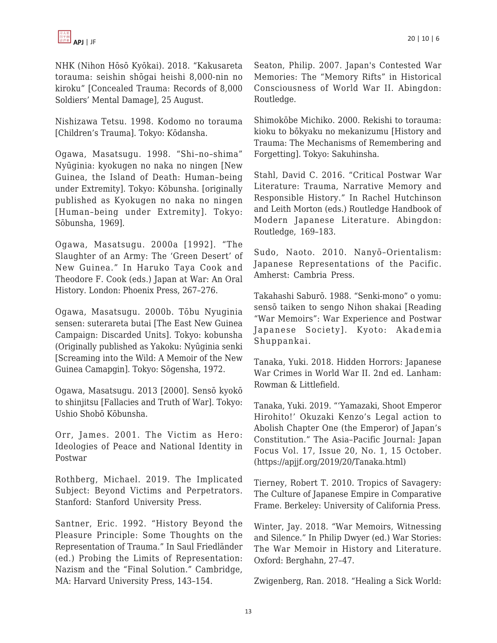NHK (Nihon Hōsō Kyōkai). 2018. "Kakusareta torauma: seishin shōgai heishi 8,000-nin no kiroku" [Concealed Trauma: Records of 8,000 Soldiers' Mental Damage], 25 August.

Nishizawa Tetsu. 1998. Kodomo no torauma [Children's Trauma]. Tokyo: Kōdansha.

Ogawa, Masatsugu. 1998. "Shi–no–shima" Nyūginia: kyokugen no naka no ningen [New Guinea, the Island of Death: Human–being under Extremity]. Tokyo: Kōbunsha. [originally published as Kyokugen no naka no ningen [Human–being under Extremity]. Tokyo: Sōbunsha, 1969].

Ogawa, Masatsugu. 2000a [1992]. "The Slaughter of an Army: The 'Green Desert' of New Guinea." In Haruko Taya Cook and Theodore F. Cook (eds.) Japan at War: An Oral History. London: Phoenix Press, 267–276.

Ogawa, Masatsugu. 2000b. Tōbu Nyuginia sensen: suterareta butai [The East New Guinea Campaign: Discarded Units]. Tokyo: kobunsha (Originally published as Yakoku: Nyūginia senki [Screaming into the Wild: A Memoir of the New Guinea Camapgin]. Tokyo: Sōgensha, 1972.

Ogawa, Masatsugu. 2013 [2000]. Sensō kyokō to shinjitsu [Fallacies and Truth of War]. Tokyo: Ushio Shobō Kōbunsha.

Orr, James. 2001. The Victim as Hero: Ideologies of Peace and National Identity in Postwar

Rothberg, Michael. 2019. The Implicated Subject: Beyond Victims and Perpetrators. Stanford: Stanford University Press.

Santner, Eric. 1992. "History Beyond the Pleasure Principle: Some Thoughts on the Representation of Trauma." In Saul Friedländer (ed.) Probing the Limits of Representation: Nazism and the "Final Solution." Cambridge, MA: Harvard University Press, 143–154.

Seaton, Philip. 2007. Japan's Contested War Memories: The "Memory Rifts" in Historical Consciousness of World War II. Abingdon: Routledge.

Shimokōbe Michiko. 2000. Rekishi to torauma: kioku to bōkyaku no mekanizumu [History and Trauma: The Mechanisms of Remembering and Forgetting]. Tokyo: Sakuhinsha.

Stahl, David C. 2016. "Critical Postwar War Literature: Trauma, Narrative Memory and Responsible History." In Rachel Hutchinson and Leith Morton (eds.) Routledge Handbook of Modern Japanese Literature. Abingdon: Routledge, 169–183.

Sudo, Naoto. 2010. Nanyō–Orientalism: Japanese Representations of the Pacific. Amherst: Cambria Press.

Takahashi Saburō. 1988. "Senki-mono" o yomu: sensō taiken to sengo Nihon shakai [Reading "War Memoirs": War Experience and Postwar Japanese Society]. Kyoto: Akademia Shuppankai.

Tanaka, Yuki. 2018. Hidden Horrors: Japanese War Crimes in World War II. 2nd ed. Lanham: Rowman & Littlefield.

Tanaka, Yuki. 2019. "'Yamazaki, Shoot Emperor Hirohito!' Okuzaki Kenzo's Legal action to Abolish Chapter One (the Emperor) of Japan's Constitution." The Asia–Pacific Journal: Japan Focus Vol. 17, Issue 20, No. 1, 15 October. (https://apjjf.org/2019/20/Tanaka.html)

Tierney, Robert T. 2010. Tropics of Savagery: The Culture of Japanese Empire in Comparative Frame. Berkeley: University of California Press.

Winter, Jay. 2018. "War Memoirs, Witnessing and Silence." In Philip Dwyer (ed.) War Stories: The War Memoir in History and Literature. Oxford: Berghahn, 27–47.

Zwigenberg, Ran. 2018. "Healing a Sick World: